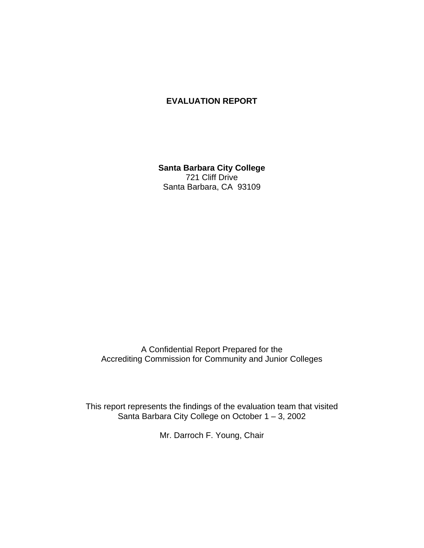# **EVALUATION REPORT**

**Santa Barbara City College** 721 Cliff Drive Santa Barbara, CA 93109

A Confidential Report Prepared for the Accrediting Commission for Community and Junior Colleges

This report represents the findings of the evaluation team that visited Santa Barbara City College on October 1 – 3, 2002

Mr. Darroch F. Young, Chair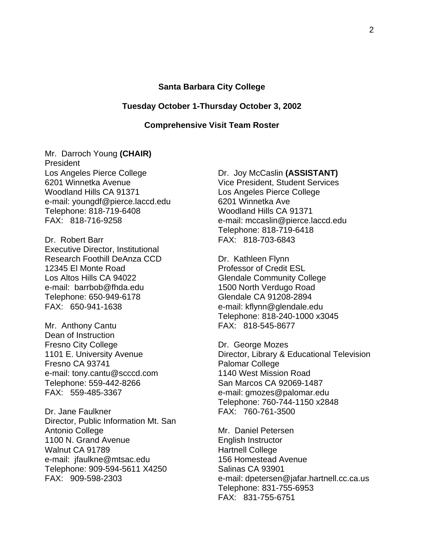#### **Santa Barbara City College**

#### **Tuesday October 1-Thursday October 3, 2002**

### **Comprehensive Visit Team Roster**

Mr. Darroch Young **(CHAIR)** President Los Angeles Pierce College 6201 Winnetka Avenue Woodland Hills CA 91371 e-mail: youngdf@pierce.laccd.edu Telephone: 818-719-6408 FAX: 818-716-9258

Dr. Robert Barr Executive Director, Institutional Research Foothill DeAnza CCD 12345 El Monte Road Los Altos Hills CA 94022 e-mail: barrbob@fhda.edu Telephone: 650-949-6178 FAX: 650-941-1638

Mr. Anthony Cantu Dean of Instruction Fresno City College 1101 E. University Avenue Fresno CA 93741 e-mail: tony.cantu@scccd.com Telephone: 559-442-8266 FAX: 559-485-3367

Dr. Jane Faulkner Director, Public Information Mt. San Antonio College 1100 N. Grand Avenue Walnut CA 91789 e-mail: jfaulkne@mtsac.edu Telephone: 909-594-5611 X4250 FAX: 909-598-2303

Dr. Joy McCaslin **(ASSISTANT)** Vice President, Student Services Los Angeles Pierce College 6201 Winnetka Ave Woodland Hills CA 91371 e-mail: mccaslin@pierce.laccd.edu Telephone: 818-719-6418 FAX: 818-703-6843

Dr. Kathleen Flynn Professor of Credit ESL Glendale Community College 1500 North Verdugo Road Glendale CA 91208-2894 e-mail: kflynn@glendale.edu Telephone: 818-240-1000 x3045 FAX: 818-545-8677

Dr. George Mozes Director, Library & Educational Television Palomar College 1140 West Mission Road San Marcos CA 92069-1487 e-mail: gmozes@palomar.edu Telephone: 760-744-1150 x2848 FAX: 760-761-3500

Mr. Daniel Petersen English Instructor Hartnell College 156 Homestead Avenue Salinas CA 93901 e-mail: dpetersen@jafar.hartnell.cc.ca.us Telephone: 831-755-6953 FAX: 831-755-6751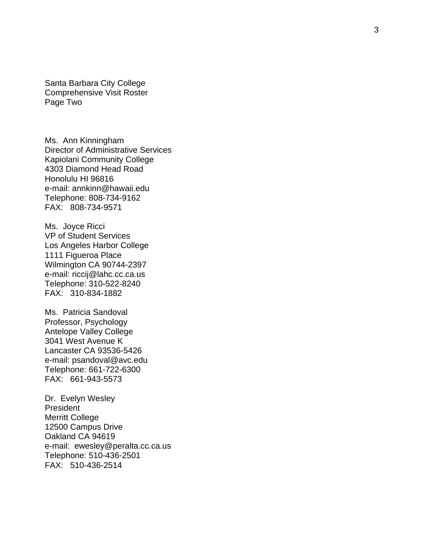Santa Barbara City College Comprehensive Visit Roster Page Two

Ms. Ann Kinningham Director of Administrative Services Kapiolani Community College 4303 Diamond Head Road Honolulu HI 96816 e-mail: annkinn@hawaii.edu Telephone: 808 -734 -9162 FAX: 808 -734 -9571

Ms. Joyce Ricci VP of Student Services Los Angeles Harbor College 1111 Figueroa Place Wilmington CA 90744 -2397 e -mail: riccij@lahc.cc.ca.us Telephone: 310 -522 -8240 FAX: 310 -834 -1882

Ms. Patricia Sandoval Professor, Psychology Antelope Valley College 3041 West Avenue K Lancaster CA 93536 -5426 e -mail: psandoval@avc.edu Telephone: 661 -722 -6300 FAX: 661 -943 -5573

Dr. Evelyn Wesley **President** Merritt College 12500 Campus Drive Oakland CA 94619 e-mail: ewesley@peralta.cc.ca.us Telephone: 510 -436 -2501 FAX: 510-436-2514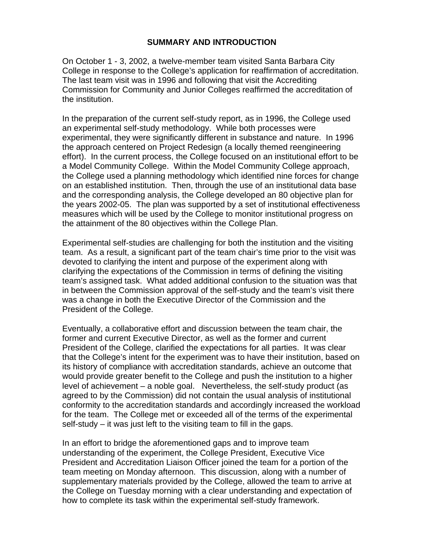# **SUMMARY AND INTRODUCTION**

On October 1 - 3, 2002, a twelve-member team visited Santa Barbara City College in response to the College's application for reaffirmation of accreditation. The last team visit was in 1996 and following that visit the Accrediting Commission for Community and Junior Colleges reaffirmed the accreditation of the institution.

In the preparation of the current self-study report, as in 1996, the College used an experimental self-study methodology. While both processes were experimental, they were significantly different in substance and nature. In 1996 the approach centered on Project Redesign (a locally themed reengineering effort). In the current process, the College focused on an institutional effort to be a Model Community College. Within the Model Community College approach, the College used a planning methodology which identified nine forces for change on an established institution. Then, through the use of an institutional data base and the corresponding analysis, the College developed an 80 objective plan for the years 2002-05. The plan was supported by a set of institutional effectiveness measures which will be used by the College to monitor institutional progress on the attainment of the 80 objectives within the College Plan.

Experimental self-studies are challenging for both the institution and the visiting team. As a result, a significant part of the team chair's time prior to the visit was devoted to clarifying the intent and purpose of the experiment along with clarifying the expectations of the Commission in terms of defining the visiting team's assigned task. What added additional confusion to the situation was that in between the Commission approval of the self-study and the team's visit there was a change in both the Executive Director of the Commission and the President of the College.

Eventually, a collaborative effort and discussion between the team chair, the former and current Executive Director, as well as the former and current President of the College, clarified the expectations for all parties. It was clear that the College's intent for the experiment was to have their institution, based on its history of compliance with accreditation standards, achieve an outcome that would provide greater benefit to the College and push the institution to a higher level of achievement – a noble goal. Nevertheless, the self-study product (as agreed to by the Commission) did not contain the usual analysis of institutional conformity to the accreditation standards and accordingly increased the workload for the team. The College met or exceeded all of the terms of the experimental self-study – it was just left to the visiting team to fill in the gaps.

In an effort to bridge the aforementioned gaps and to improve team understanding of the experiment, the College President, Executive Vice President and Accreditation Liaison Officer joined the team for a portion of the team meeting on Monday afternoon. This discussion, along with a number of supplementary materials provided by the College, allowed the team to arrive at the College on Tuesday morning with a clear understanding and expectation of how to complete its task within the experimental self-study framework.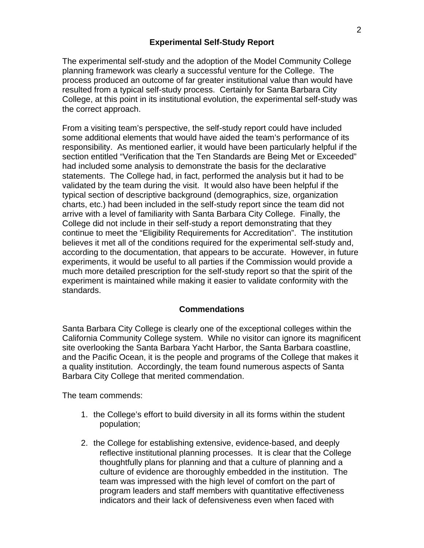# **Experimental Self-Study Report**

The experimental self-study and the adoption of the Model Community College planning framework was clearly a successful venture for the College. The process produced an outcome of far greater institutional value than would have resulted from a typical self-study process. Certainly for Santa Barbara City College, at this point in its institutional evolution, the experimental self-study was the correct approach.

From a visiting team's perspective, the self-study report could have included some additional elements that would have aided the team's performance of its responsibility. As mentioned earlier, it would have been particularly helpful if the section entitled "Verification that the Ten Standards are Being Met or Exceeded" had included some analysis to demonstrate the basis for the declarative statements. The College had, in fact, performed the analysis but it had to be validated by the team during the visit. It would also have been helpful if the typical section of descriptive background (demographics, size, organization charts, etc.) had been included in the self-study report since the team did not arrive with a level of familiarity with Santa Barbara City College. Finally, the College did not include in their self-study a report demonstrating that they continue to meet the "Eligibility Requirements for Accreditation". The institution believes it met all of the conditions required for the experimental self-study and, according to the documentation, that appears to be accurate. However, in future experiments, it would be useful to all parties if the Commission would provide a much more detailed prescription for the self-study report so that the spirit of the experiment is maintained while making it easier to validate conformity with the standards.

### **Commendations**

Santa Barbara City College is clearly one of the exceptional colleges within the California Community College system. While no visitor can ignore its magnificent site overlooking the Santa Barbara Yacht Harbor, the Santa Barbara coastline, and the Pacific Ocean, it is the people and programs of the College that makes it a quality institution. Accordingly, the team found numerous aspects of Santa Barbara City College that merited commendation.

The team commends:

- 1. the College's effort to build diversity in all its forms within the student population;
- 2. the College for establishing extensive, evidence-based, and deeply reflective institutional planning processes. It is clear that the College thoughtfully plans for planning and that a culture of planning and a culture of evidence are thoroughly embedded in the institution. The team was impressed with the high level of comfort on the part of program leaders and staff members with quantitative effectiveness indicators and their lack of defensiveness even when faced with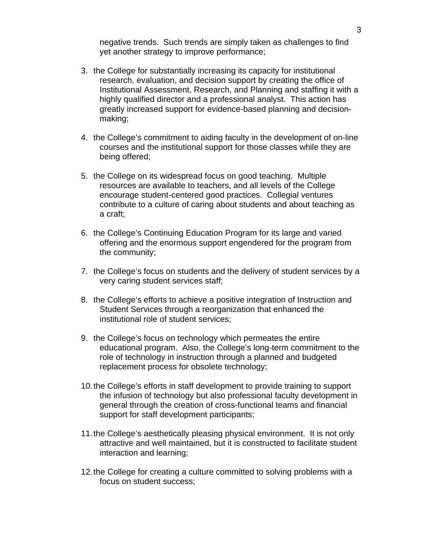negative trends. Such trends are simply taken as challenges to find yet another strategy to improve performance;

- 3. the College for substantially increasing its capacity for institutional research, evaluation, and decision support by creating the office of Institutional Assessment, Research, and Planning and staffing it with a highly qualified director and a professional analyst. This action has greatly increased support for evidence-based planning and decisionmaking;
- 4. the College's commitment to aiding faculty in the development of on-line courses and the institutional support for those classes while they are being offered;
- 5. the College on its widespread focus on good teaching. Multiple resources are available to teachers, and all levels of the College encourage student-centered good practices. Collegial ventures contribute to a culture of caring about students and about teaching as a craft;
- 6. the College's Continuing Education Program for its large and varied offering and the enormous support engendered for the program from the community;
- 7. the College's focus on students and the delivery of student services by a very caring student services staff;
- 8. the College's efforts to achieve a positive integration of Instruction and Student Services through a reorganization that enhanced the institutional role of student services;
- 9. the College's focus on technology which permeates the entire educational program. Also, the College's long-term commitment to the role of technology in instruction through a planned and budgeted replacement process for obsolete technology;
- 10.the College's efforts in staff development to provide training to support the infusion of technology but also professional faculty development in general through the creation of cross-functional teams and financial support for staff development participants;
- 11.the College's aesthetically pleasing physical environment. It is not only attractive and well maintained, but it is constructed to facilitate student interaction and learning;
- 12.the College for creating a culture committed to solving problems with a focus on student success;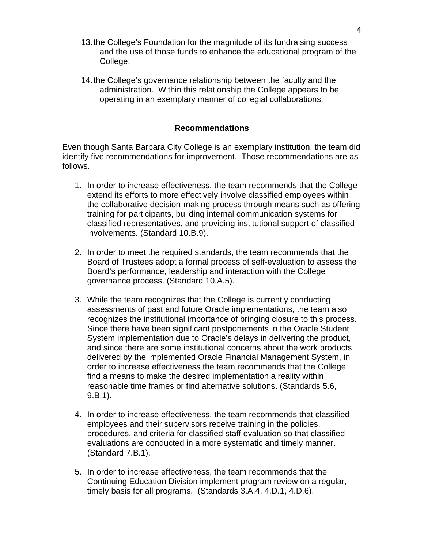- 13.the College's Foundation for the magnitude of its fundraising success and the use of those funds to enhance the educational program of the College;
- 14.the College's governance relationship between the faculty and the administration. Within this relationship the College appears to be operating in an exemplary manner of collegial collaborations.

# **Recommendations**

Even though Santa Barbara City College is an exemplary institution, the team did identify five recommendations for improvement. Those recommendations are as follows.

- 1. In order to increase effectiveness, the team recommends that the College extend its efforts to more effectively involve classified employees within the collaborative decision-making process through means such as offering training for participants, building internal communication systems for classified representatives, and providing institutional support of classified involvements. (Standard 10.B.9).
- 2. In order to meet the required standards, the team recommends that the Board of Trustees adopt a formal process of self-evaluation to assess the Board's performance, leadership and interaction with the College governance process. (Standard 10.A.5).
- 3. While the team recognizes that the College is currently conducting assessments of past and future Oracle implementations, the team also recognizes the institutional importance of bringing closure to this process. Since there have been significant postponements in the Oracle Student System implementation due to Oracle's delays in delivering the product, and since there are some institutional concerns about the work products delivered by the implemented Oracle Financial Management System, in order to increase effectiveness the team recommends that the College find a means to make the desired implementation a reality within reasonable time frames or find alternative solutions. (Standards 5.6, 9.B.1).
- 4. In order to increase effectiveness, the team recommends that classified employees and their supervisors receive training in the policies, procedures, and criteria for classified staff evaluation so that classified evaluations are conducted in a more systematic and timely manner. (Standard 7.B.1).
- 5. In order to increase effectiveness, the team recommends that the Continuing Education Division implement program review on a regular, timely basis for all programs. (Standards 3.A.4, 4.D.1, 4.D.6).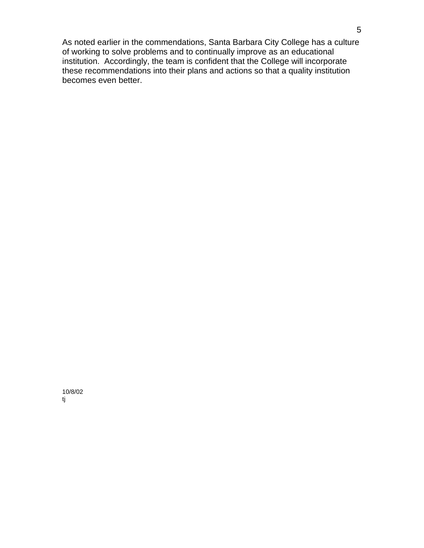As noted earlier in the commendations, Santa Barbara City College has a culture of working to solve problems and to continually improve as an educational institution. Accordingly, the team is confident that the College will incorporate these recommendations into their plans and actions so that a quality institution becomes even better.

10/8/02 tj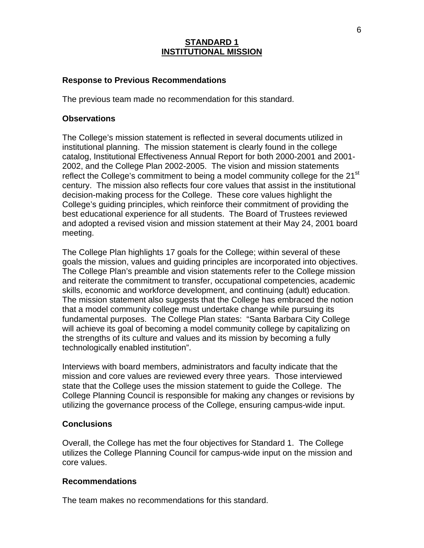# **STANDARD 1 INSTITUTIONAL MISSION**

### **Response to Previous Recommendations**

The previous team made no recommendation for this standard.

#### **Observations**

The College's mission statement is reflected in several documents utilized in institutional planning. The mission statement is clearly found in the college catalog, Institutional Effectiveness Annual Report for both 2000-2001 and 2001- 2002, and the College Plan 2002-2005. The vision and mission statements reflect the College's commitment to being a model community college for the 21<sup>st</sup> century. The mission also reflects four core values that assist in the institutional decision-making process for the College. These core values highlight the College's guiding principles, which reinforce their commitment of providing the best educational experience for all students. The Board of Trustees reviewed and adopted a revised vision and mission statement at their May 24, 2001 board meeting.

The College Plan highlights 17 goals for the College; within several of these goals the mission, values and guiding principles are incorporated into objectives. The College Plan's preamble and vision statements refer to the College mission and reiterate the commitment to transfer, occupational competencies, academic skills, economic and workforce development, and continuing (adult) education. The mission statement also suggests that the College has embraced the notion that a model community college must undertake change while pursuing its fundamental purposes. The College Plan states: "Santa Barbara City College will achieve its goal of becoming a model community college by capitalizing on the strengths of its culture and values and its mission by becoming a fully technologically enabled institution".

Interviews with board members, administrators and faculty indicate that the mission and core values are reviewed every three years. Those interviewed state that the College uses the mission statement to guide the College. The College Planning Council is responsible for making any changes or revisions by utilizing the governance process of the College, ensuring campus-wide input.

### **Conclusions**

Overall, the College has met the four objectives for Standard 1. The College utilizes the College Planning Council for campus-wide input on the mission and core values.

#### **Recommendations**

The team makes no recommendations for this standard.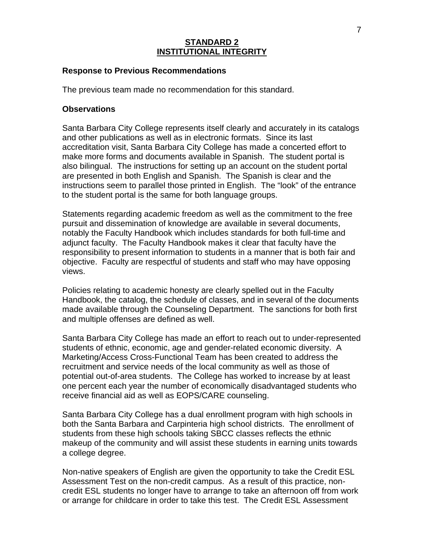## **STANDARD 2 INSTITUTIONAL INTEGRITY**

### **Response to Previous Recommendations**

The previous team made no recommendation for this standard.

### **Observations**

Santa Barbara City College represents itself clearly and accurately in its catalogs and other publications as well as in electronic formats. Since its last accreditation visit, Santa Barbara City College has made a concerted effort to make more forms and documents available in Spanish. The student portal is also bilingual. The instructions for setting up an account on the student portal are presented in both English and Spanish. The Spanish is clear and the instructions seem to parallel those printed in English. The "look" of the entrance to the student portal is the same for both language groups.

Statements regarding academic freedom as well as the commitment to the free pursuit and dissemination of knowledge are available in several documents, notably the Faculty Handbook which includes standards for both full-time and adjunct faculty. The Faculty Handbook makes it clear that faculty have the responsibility to present information to students in a manner that is both fair and objective. Faculty are respectful of students and staff who may have opposing views.

Policies relating to academic honesty are clearly spelled out in the Faculty Handbook, the catalog, the schedule of classes, and in several of the documents made available through the Counseling Department. The sanctions for both first and multiple offenses are defined as well.

Santa Barbara City College has made an effort to reach out to under-represented students of ethnic, economic, age and gender-related economic diversity. A Marketing/Access Cross-Functional Team has been created to address the recruitment and service needs of the local community as well as those of potential out-of-area students. The College has worked to increase by at least one percent each year the number of economically disadvantaged students who receive financial aid as well as EOPS/CARE counseling.

Santa Barbara City College has a dual enrollment program with high schools in both the Santa Barbara and Carpinteria high school districts. The enrollment of students from these high schools taking SBCC classes reflects the ethnic makeup of the community and will assist these students in earning units towards a college degree.

Non-native speakers of English are given the opportunity to take the Credit ESL Assessment Test on the non-credit campus. As a result of this practice, noncredit ESL students no longer have to arrange to take an afternoon off from work or arrange for childcare in order to take this test. The Credit ESL Assessment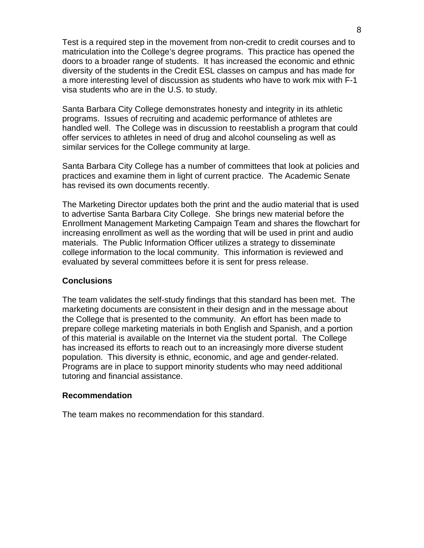Test is a required step in the movement from non-credit to credit courses and to matriculation into the College's degree programs. This practice has opened the doors to a broader range of students. It has increased the economic and ethnic diversity of the students in the Credit ESL classes on campus and has made for a more interesting level of discussion as students who have to work mix with F-1 visa students who are in the U.S. to study.

Santa Barbara City College demonstrates honesty and integrity in its athletic programs. Issues of recruiting and academic performance of athletes are handled well. The College was in discussion to reestablish a program that could offer services to athletes in need of drug and alcohol counseling as well as similar services for the College community at large.

Santa Barbara City College has a number of committees that look at policies and practices and examine them in light of current practice. The Academic Senate has revised its own documents recently.

The Marketing Director updates both the print and the audio material that is used to advertise Santa Barbara City College. She brings new material before the Enrollment Management Marketing Campaign Team and shares the flowchart for increasing enrollment as well as the wording that will be used in print and audio materials. The Public Information Officer utilizes a strategy to disseminate college information to the local community. This information is reviewed and evaluated by several committees before it is sent for press release.

#### **Conclusions**

The team validates the self-study findings that this standard has been met. The marketing documents are consistent in their design and in the message about the College that is presented to the community. An effort has been made to prepare college marketing materials in both English and Spanish, and a portion of this material is available on the Internet via the student portal. The College has increased its efforts to reach out to an increasingly more diverse student population. This diversity is ethnic, economic, and age and gender-related. Programs are in place to support minority students who may need additional tutoring and financial assistance.

### **Recommendation**

The team makes no recommendation for this standard.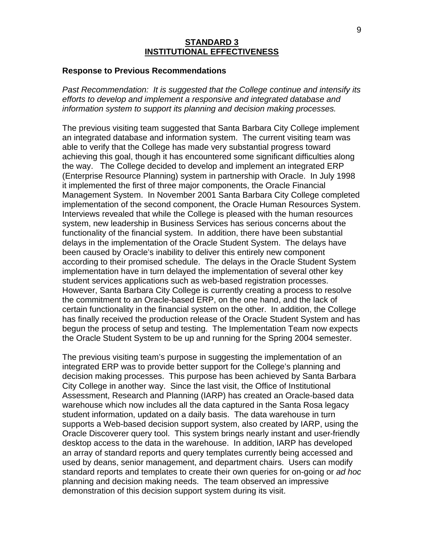### **STANDARD 3 INSTITUTIONAL EFFECTIVENESS**

#### **Response to Previous Recommendations**

*Past Recommendation: It is suggested that the College continue and intensify its efforts to develop and implement a responsive and integrated database and information system to support its planning and decision making processes.*

The previous visiting team suggested that Santa Barbara City College implement an integrated database and information system. The current visiting team was able to verify that the College has made very substantial progress toward achieving this goal, though it has encountered some significant difficulties along the way. The College decided to develop and implement an integrated ERP (Enterprise Resource Planning) system in partnership with Oracle. In July 1998 it implemented the first of three major components, the Oracle Financial Management System. In November 2001 Santa Barbara City College completed implementation of the second component, the Oracle Human Resources System. Interviews revealed that while the College is pleased with the human resources system, new leadership in Business Services has serious concerns about the functionality of the financial system. In addition, there have been substantial delays in the implementation of the Oracle Student System. The delays have been caused by Oracle's inability to deliver this entirely new component according to their promised schedule. The delays in the Oracle Student System implementation have in turn delayed the implementation of several other key student services applications such as web-based registration processes. However, Santa Barbara City College is currently creating a process to resolve the commitment to an Oracle-based ERP, on the one hand, and the lack of certain functionality in the financial system on the other. In addition, the College has finally received the production release of the Oracle Student System and has begun the process of setup and testing. The Implementation Team now expects the Oracle Student System to be up and running for the Spring 2004 semester.

The previous visiting team's purpose in suggesting the implementation of an integrated ERP was to provide better support for the College's planning and decision making processes. This purpose has been achieved by Santa Barbara City College in another way. Since the last visit, the Office of Institutional Assessment, Research and Planning (IARP) has created an Oracle-based data warehouse which now includes all the data captured in the Santa Rosa legacy student information, updated on a daily basis. The data warehouse in turn supports a Web-based decision support system, also created by IARP, using the Oracle Discoverer query tool. This system brings nearly instant and user-friendly desktop access to the data in the warehouse. In addition, IARP has developed an array of standard reports and query templates currently being accessed and used by deans, senior management, and department chairs. Users can modify standard reports and templates to create their own queries for on-going or *ad hoc* planning and decision making needs. The team observed an impressive demonstration of this decision support system during its visit.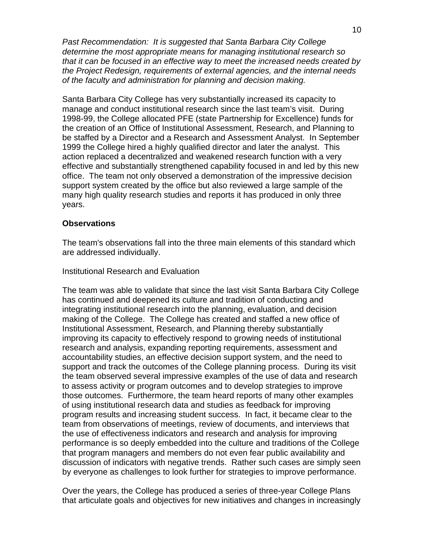*Past Recommendation: It is suggested that Santa Barbara City College determine the most appropriate means for managing institutional research so that it can be focused in an effective way to meet the increased needs created by the Project Redesign, requirements of external agencies, and the internal needs of the faculty and administration for planning and decision making.*

Santa Barbara City College has very substantially increased its capacity to manage and conduct institutional research since the last team's visit. During 1998-99, the College allocated PFE (state Partnership for Excellence) funds for the creation of an Office of Institutional Assessment, Research, and Planning to be staffed by a Director and a Research and Assessment Analyst. In September 1999 the College hired a highly qualified director and later the analyst. This action replaced a decentralized and weakened research function with a very effective and substantially strengthened capability focused in and led by this new office. The team not only observed a demonstration of the impressive decision support system created by the office but also reviewed a large sample of the many high quality research studies and reports it has produced in only three years.

#### **Observations**

The team's observations fall into the three main elements of this standard which are addressed individually.

# Institutional Research and Evaluation

The team was able to validate that since the last visit Santa Barbara City College has continued and deepened its culture and tradition of conducting and integrating institutional research into the planning, evaluation, and decision making of the College. The College has created and staffed a new office of Institutional Assessment, Research, and Planning thereby substantially improving its capacity to effectively respond to growing needs of institutional research and analysis, expanding reporting requirements, assessment and accountability studies, an effective decision support system, and the need to support and track the outcomes of the College planning process. During its visit the team observed several impressive examples of the use of data and research to assess activity or program outcomes and to develop strategies to improve those outcomes. Furthermore, the team heard reports of many other examples of using institutional research data and studies as feedback for improving program results and increasing student success. In fact, it became clear to the team from observations of meetings, review of documents, and interviews that the use of effectiveness indicators and research and analysis for improving performance is so deeply embedded into the culture and traditions of the College that program managers and members do not even fear public availability and discussion of indicators with negative trends. Rather such cases are simply seen by everyone as challenges to look further for strategies to improve performance.

Over the years, the College has produced a series of three-year College Plans that articulate goals and objectives for new initiatives and changes in increasingly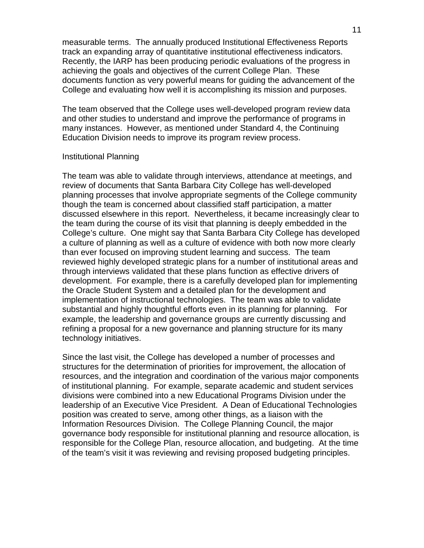measurable terms. The annually produced Institutional Effectiveness Reports track an expanding array of quantitative institutional effectiveness indicators. Recently, the IARP has been producing periodic evaluations of the progress in achieving the goals and objectives of the current College Plan. These documents function as very powerful means for guiding the advancement of the College and evaluating how well it is accomplishing its mission and purposes.

The team observed that the College uses well-developed program review data and other studies to understand and improve the performance of programs in many instances. However, as mentioned under Standard 4, the Continuing Education Division needs to improve its program review process.

#### Institutional Planning

The team was able to validate through interviews, attendance at meetings, and review of documents that Santa Barbara City College has well-developed planning processes that involve appropriate segments of the College community though the team is concerned about classified staff participation, a matter discussed elsewhere in this report. Nevertheless, it became increasingly clear to the team during the course of its visit that planning is deeply embedded in the College's culture. One might say that Santa Barbara City College has developed a culture of planning as well as a culture of evidence with both now more clearly than ever focused on improving student learning and success. The team reviewed highly developed strategic plans for a number of institutional areas and through interviews validated that these plans function as effective drivers of development. For example, there is a carefully developed plan for implementing the Oracle Student System and a detailed plan for the development and implementation of instructional technologies. The team was able to validate substantial and highly thoughtful efforts even in its planning for planning. For example, the leadership and governance groups are currently discussing and refining a proposal for a new governance and planning structure for its many technology initiatives.

Since the last visit, the College has developed a number of processes and structures for the determination of priorities for improvement, the allocation of resources, and the integration and coordination of the various major components of institutional planning. For example, separate academic and student services divisions were combined into a new Educational Programs Division under the leadership of an Executive Vice President. A Dean of Educational Technologies position was created to serve, among other things, as a liaison with the Information Resources Division. The College Planning Council, the major governance body responsible for institutional planning and resource allocation, is responsible for the College Plan, resource allocation, and budgeting. At the time of the team's visit it was reviewing and revising proposed budgeting principles.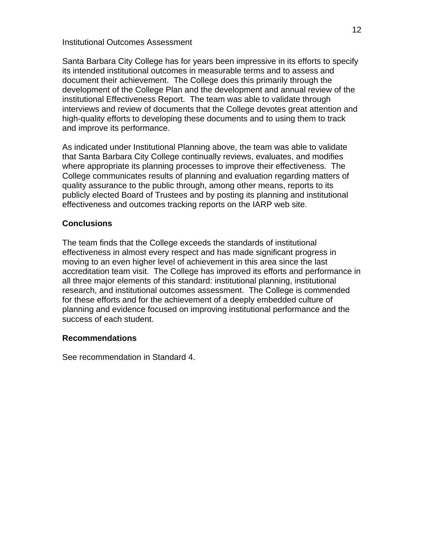### Institutional Outcomes Assessment

Santa Barbara City College has for years been impressive in its efforts to specify its intended institutional outcomes in measurable terms and to assess and document their achievement. The College does this primarily through the development of the College Plan and the development and annual review of the institutional Effectiveness Report. The team was able to validate through interviews and review of documents that the College devotes great attention and high-quality efforts to developing these documents and to using them to track and improve its performance.

As indicated under Institutional Planning above, the team was able to validate that Santa Barbara City College continually reviews, evaluates, and modifies where appropriate its planning processes to improve their effectiveness. The College communicates results of planning and evaluation regarding matters of quality assurance to the public through, among other means, reports to its publicly elected Board of Trustees and by posting its planning and institutional effectiveness and outcomes tracking reports on the IARP web site.

# **Conclusions**

The team finds that the College exceeds the standards of institutional effectiveness in almost every respect and has made significant progress in moving to an even higher level of achievement in this area since the last accreditation team visit. The College has improved its efforts and performance in all three major elements of this standard: institutional planning, institutional research, and institutional outcomes assessment. The College is commended for these efforts and for the achievement of a deeply embedded culture of planning and evidence focused on improving institutional performance and the success of each student.

### **Recommendations**

See recommendation in Standard 4.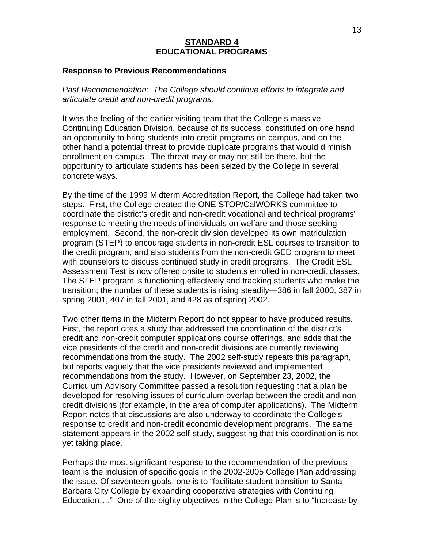## **STANDARD 4 EDUCATIONAL PROGRAMS**

#### **Response to Previous Recommendations**

*Past Recommendation: The College should continue efforts to integrate and articulate credit and non-credit programs.*

It was the feeling of the earlier visiting team that the College's massive Continuing Education Division, because of its success, constituted on one hand an opportunity to bring students into credit programs on campus, and on the other hand a potential threat to provide duplicate programs that would diminish enrollment on campus. The threat may or may not still be there, but the opportunity to articulate students has been seized by the College in several concrete ways.

By the time of the 1999 Midterm Accreditation Report, the College had taken two steps. First, the College created the ONE STOP/CalWORKS committee to coordinate the district's credit and non-credit vocational and technical programs' response to meeting the needs of individuals on welfare and those seeking employment. Second, the non-credit division developed its own matriculation program (STEP) to encourage students in non-credit ESL courses to transition to the credit program, and also students from the non-credit GED program to meet with counselors to discuss continued study in credit programs. The Credit ESL Assessment Test is now offered onsite to students enrolled in non-credit classes. The STEP program is functioning effectively and tracking students who make the transition; the number of these students is rising steadily—386 in fall 2000, 387 in spring 2001, 407 in fall 2001, and 428 as of spring 2002.

Two other items in the Midterm Report do not appear to have produced results. First, the report cites a study that addressed the coordination of the district's credit and non-credit computer applications course offerings, and adds that the vice presidents of the credit and non-credit divisions are currently reviewing recommendations from the study. The 2002 self-study repeats this paragraph, but reports vaguely that the vice presidents reviewed and implemented recommendations from the study. However, on September 23, 2002, the Curriculum Advisory Committee passed a resolution requesting that a plan be developed for resolving issues of curriculum overlap between the credit and noncredit divisions (for example, in the area of computer applications). The Midterm Report notes that discussions are also underway to coordinate the College's response to credit and non-credit economic development programs. The same statement appears in the 2002 self-study, suggesting that this coordination is not yet taking place.

Perhaps the most significant response to the recommendation of the previous team is the inclusion of specific goals in the 2002-2005 College Plan addressing the issue. Of seventeen goals, one is to "facilitate student transition to Santa Barbara City College by expanding cooperative strategies with Continuing Education…." One of the eighty objectives in the College Plan is to "Increase by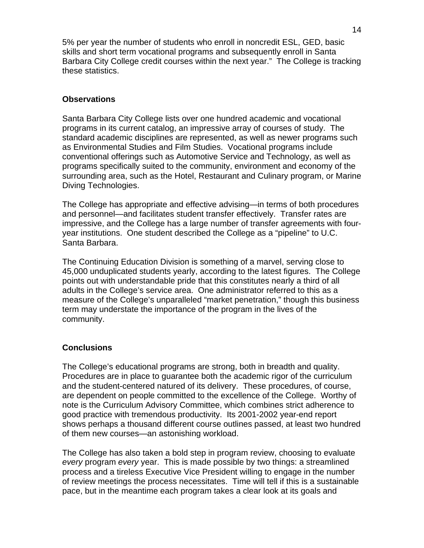5% per year the number of students who enroll in noncredit ESL, GED, basic skills and short term vocational programs and subsequently enroll in Santa Barbara City College credit courses within the next year." The College is tracking these statistics.

# **Observations**

Santa Barbara City College lists over one hundred academic and vocational programs in its current catalog, an impressive array of courses of study. The standard academic disciplines are represented, as well as newer programs such as Environmental Studies and Film Studies. Vocational programs include conventional offerings such as Automotive Service and Technology, as well as programs specifically suited to the community, environment and economy of the surrounding area, such as the Hotel, Restaurant and Culinary program, or Marine Diving Technologies.

The College has appropriate and effective advising—in terms of both procedures and personnel—and facilitates student transfer effectively. Transfer rates are impressive, and the College has a large number of transfer agreements with fouryear institutions. One student described the College as a "pipeline" to U.C. Santa Barbara.

The Continuing Education Division is something of a marvel, serving close to 45,000 unduplicated students yearly, according to the latest figures. The College points out with understandable pride that this constitutes nearly a third of all adults in the College's service area. One administrator referred to this as a measure of the College's unparalleled "market penetration," though this business term may understate the importance of the program in the lives of the community.

# **Conclusions**

The College's educational programs are strong, both in breadth and quality. Procedures are in place to guarantee both the academic rigor of the curriculum and the student-centered natured of its delivery. These procedures, of course, are dependent on people committed to the excellence of the College. Worthy of note is the Curriculum Advisory Committee, which combines strict adherence to good practice with tremendous productivity. Its 2001-2002 year-end report shows perhaps a thousand different course outlines passed, at least two hundred of them new courses—an astonishing workload.

The College has also taken a bold step in program review, choosing to evaluate *every* program *every* year. This is made possible by two things: a streamlined process and a tireless Executive Vice President willing to engage in the number of review meetings the process necessitates. Time will tell if this is a sustainable pace, but in the meantime each program takes a clear look at its goals and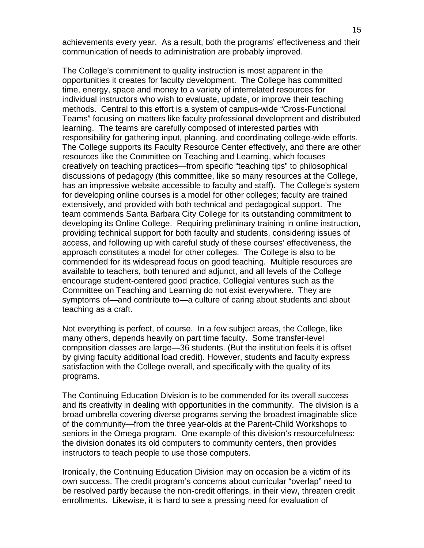achievements every year. As a result, both the programs' effectiveness and their communication of needs to administration are probably improved.

The College's commitment to quality instruction is most apparent in the opportunities it creates for faculty development. The College has committed time, energy, space and money to a variety of interrelated resources for individual instructors who wish to evaluate, update, or improve their teaching methods. Central to this effort is a system of campus-wide "Cross-Functional Teams" focusing on matters like faculty professional development and distributed learning. The teams are carefully composed of interested parties with responsibility for gathering input, planning, and coordinating college-wide efforts. The College supports its Faculty Resource Center effectively, and there are other resources like the Committee on Teaching and Learning, which focuses creatively on teaching practices—from specific "teaching tips" to philosophical discussions of pedagogy (this committee, like so many resources at the College, has an impressive website accessible to faculty and staff). The College's system for developing online courses is a model for other colleges; faculty are trained extensively, and provided with both technical and pedagogical support. The team commends Santa Barbara City College for its outstanding commitment to developing its Online College. Requiring preliminary training in online instruction, providing technical support for both faculty and students, considering issues of access, and following up with careful study of these courses' effectiveness, the approach constitutes a model for other colleges. The College is also to be commended for its widespread focus on good teaching. Multiple resources are available to teachers, both tenured and adjunct, and all levels of the College encourage student-centered good practice. Collegial ventures such as the Committee on Teaching and Learning do not exist everywhere. They are symptoms of—and contribute to—a culture of caring about students and about teaching as a craft.

Not everything is perfect, of course. In a few subject areas, the College, like many others, depends heavily on part time faculty. Some transfer-level composition classes are large—36 students. (But the institution feels it is offset by giving faculty additional load credit). However, students and faculty express satisfaction with the College overall, and specifically with the quality of its programs.

The Continuing Education Division is to be commended for its overall success and its creativity in dealing with opportunities in the community. The division is a broad umbrella covering diverse programs serving the broadest imaginable slice of the community—from the three year-olds at the Parent-Child Workshops to seniors in the Omega program. One example of this division's resourcefulness: the division donates its old computers to community centers, then provides instructors to teach people to use those computers.

Ironically, the Continuing Education Division may on occasion be a victim of its own success. The credit program's concerns about curricular "overlap" need to be resolved partly because the non-credit offerings, in their view, threaten credit enrollments. Likewise, it is hard to see a pressing need for evaluation of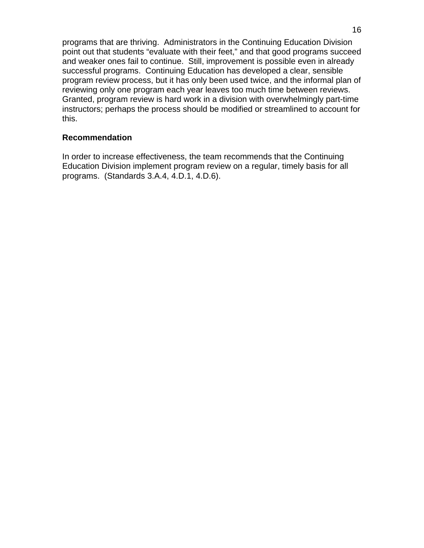programs that are thriving. Administrators in the Continuing Education Division point out that students "evaluate with their feet," and that good programs succeed and weaker ones fail to continue. Still, improvement is possible even in already successful programs. Continuing Education has developed a clear, sensible program review process, but it has only been used twice, and the informal plan of reviewing only one program each year leaves too much time between reviews. Granted, program review is hard work in a division with overwhelmingly part-time instructors; perhaps the process should be modified or streamlined to account for this.

## **Recommendation**

In order to increase effectiveness, the team recommends that the Continuing Education Division implement program review on a regular, timely basis for all programs. (Standards 3.A.4, 4.D.1, 4.D.6).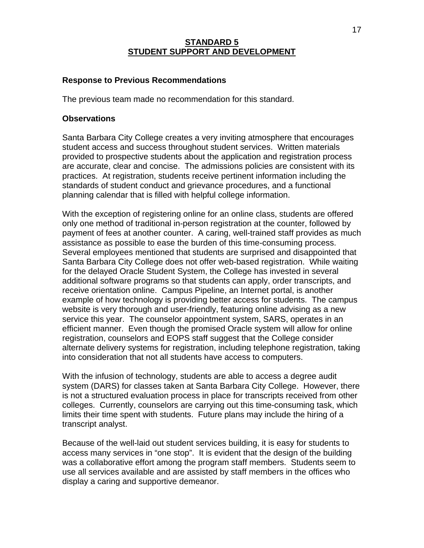# **STANDARD 5 STUDENT SUPPORT AND DEVELOPMENT**

# **Response to Previous Recommendations**

The previous team made no recommendation for this standard.

### **Observations**

Santa Barbara City College creates a very inviting atmosphere that encourages student access and success throughout student services. Written materials provided to prospective students about the application and registration process are accurate, clear and concise. The admissions policies are consistent with its practices. At registration, students receive pertinent information including the standards of student conduct and grievance procedures, and a functional planning calendar that is filled with helpful college information.

With the exception of registering online for an online class, students are offered only one method of traditional in-person registration at the counter, followed by payment of fees at another counter. A caring, well-trained staff provides as much assistance as possible to ease the burden of this time-consuming process. Several employees mentioned that students are surprised and disappointed that Santa Barbara City College does not offer web-based registration. While waiting for the delayed Oracle Student System, the College has invested in several additional software programs so that students can apply, order transcripts, and receive orientation online. Campus Pipeline, an Internet portal, is another example of how technology is providing better access for students. The campus website is very thorough and user-friendly, featuring online advising as a new service this year. The counselor appointment system, SARS, operates in an efficient manner. Even though the promised Oracle system will allow for online registration, counselors and EOPS staff suggest that the College consider alternate delivery systems for registration, including telephone registration, taking into consideration that not all students have access to computers.

With the infusion of technology, students are able to access a degree audit system (DARS) for classes taken at Santa Barbara City College. However, there is not a structured evaluation process in place for transcripts received from other colleges. Currently, counselors are carrying out this time-consuming task, which limits their time spent with students. Future plans may include the hiring of a transcript analyst.

Because of the well-laid out student services building, it is easy for students to access many services in "one stop". It is evident that the design of the building was a collaborative effort among the program staff members. Students seem to use all services available and are assisted by staff members in the offices who display a caring and supportive demeanor.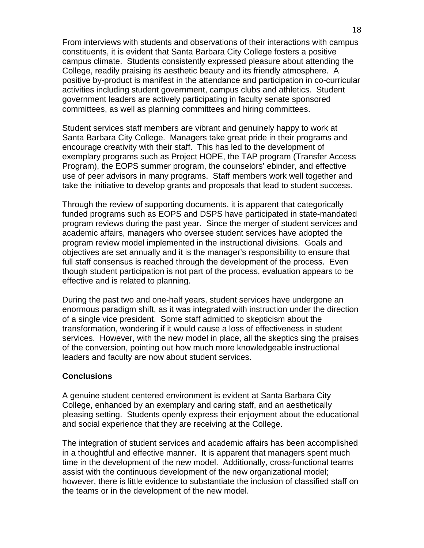From interviews with students and observations of their interactions with campus constituents, it is evident that Santa Barbara City College fosters a positive campus climate. Students consistently expressed pleasure about attending the College, readily praising its aesthetic beauty and its friendly atmosphere. A positive by-product is manifest in the attendance and participation in co-curricular activities including student government, campus clubs and athletics. Student government leaders are actively participating in faculty senate sponsored committees, as well as planning committees and hiring committees.

Student services staff members are vibrant and genuinely happy to work at Santa Barbara City College. Managers take great pride in their programs and encourage creativity with their staff. This has led to the development of exemplary programs such as Project HOPE, the TAP program (Transfer Access Program), the EOPS summer program, the counselors' ebinder, and effective use of peer advisors in many programs. Staff members work well together and take the initiative to develop grants and proposals that lead to student success.

Through the review of supporting documents, it is apparent that categorically funded programs such as EOPS and DSPS have participated in state-mandated program reviews during the past year. Since the merger of student services and academic affairs, managers who oversee student services have adopted the program review model implemented in the instructional divisions. Goals and objectives are set annually and it is the manager's responsibility to ensure that full staff consensus is reached through the development of the process. Even though student participation is not part of the process, evaluation appears to be effective and is related to planning.

During the past two and one-half years, student services have undergone an enormous paradigm shift, as it was integrated with instruction under the direction of a single vice president. Some staff admitted to skepticism about the transformation, wondering if it would cause a loss of effectiveness in student services. However, with the new model in place, all the skeptics sing the praises of the conversion, pointing out how much more knowledgeable instructional leaders and faculty are now about student services.

### **Conclusions**

A genuine student centered environment is evident at Santa Barbara City College, enhanced by an exemplary and caring staff, and an aesthetically pleasing setting. Students openly express their enjoyment about the educational and social experience that they are receiving at the College.

The integration of student services and academic affairs has been accomplished in a thoughtful and effective manner. It is apparent that managers spent much time in the development of the new model. Additionally, cross-functional teams assist with the continuous development of the new organizational model; however, there is little evidence to substantiate the inclusion of classified staff on the teams or in the development of the new model.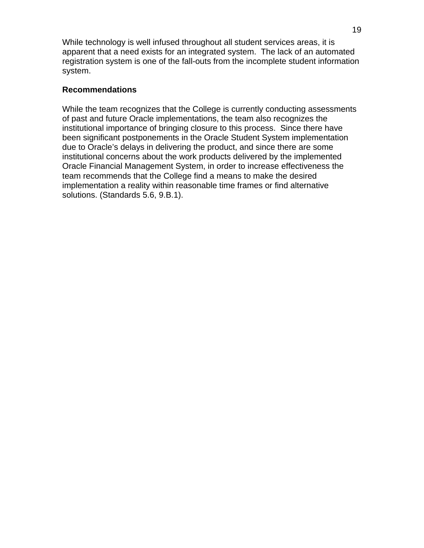While technology is well infused throughout all student services areas, it is apparent that a need exists for an integrated system. The lack of an automated registration system is one of the fall-outs from the incomplete student information system.

# **Recommendations**

While the team recognizes that the College is currently conducting assessments of past and future Oracle implementations, the team also recognizes the institutional importance of bringing closure to this process. Since there have been significant postponements in the Oracle Student System implementation due to Oracle's delays in delivering the product, and since there are some institutional concerns about the work products delivered by the implemented Oracle Financial Management System, in order to increase effectiveness the team recommends that the College find a means to make the desired implementation a reality within reasonable time frames or find alternative solutions. (Standards 5.6, 9.B.1).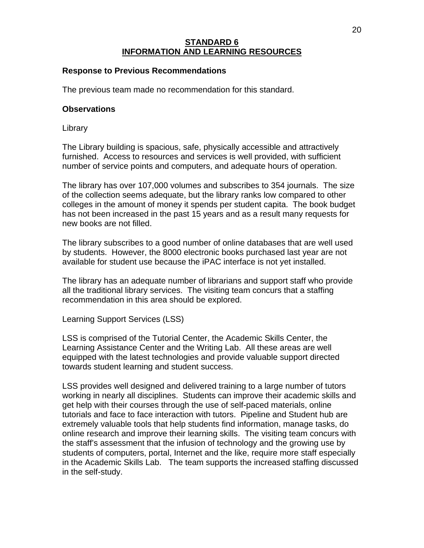# **STANDARD 6 INFORMATION AND LEARNING RESOURCES**

# **Response to Previous Recommendations**

The previous team made no recommendation for this standard.

## **Observations**

**Library** 

The Library building is spacious, safe, physically accessible and attractively furnished. Access to resources and services is well provided, with sufficient number of service points and computers, and adequate hours of operation.

The library has over 107,000 volumes and subscribes to 354 journals. The size of the collection seems adequate, but the library ranks low compared to other colleges in the amount of money it spends per student capita. The book budget has not been increased in the past 15 years and as a result many requests for new books are not filled.

The library subscribes to a good number of online databases that are well used by students. However, the 8000 electronic books purchased last year are not available for student use because the iPAC interface is not yet installed.

The library has an adequate number of librarians and support staff who provide all the traditional library services. The visiting team concurs that a staffing recommendation in this area should be explored.

Learning Support Services (LSS)

LSS is comprised of the Tutorial Center, the Academic Skills Center, the Learning Assistance Center and the Writing Lab. All these areas are well equipped with the latest technologies and provide valuable support directed towards student learning and student success.

LSS provides well designed and delivered training to a large number of tutors working in nearly all disciplines. Students can improve their academic skills and get help with their courses through the use of self-paced materials, online tutorials and face to face interaction with tutors. Pipeline and Student hub are extremely valuable tools that help students find information, manage tasks, do online research and improve their learning skills. The visiting team concurs with the staff's assessment that the infusion of technology and the growing use by students of computers, portal, Internet and the like, require more staff especially in the Academic Skills Lab. The team supports the increased staffing discussed in the self-study.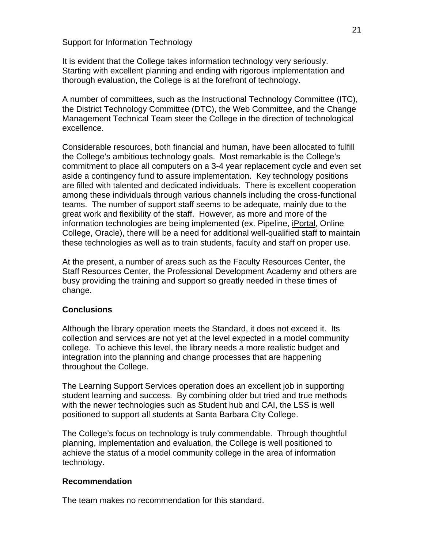Support for Information Technology

It is evident that the College takes information technology very seriously. Starting with excellent planning and ending with rigorous implementation and thorough evaluation, the College is at the forefront of technology.

A number of committees, such as the Instructional Technology Committee (ITC), the District Technology Committee (DTC), the Web Committee, and the Change Management Technical Team steer the College in the direction of technological excellence.

Considerable resources, both financial and human, have been allocated to fulfill the College's ambitious technology goals. Most remarkable is the College's commitment to place all computers on a 3-4 year replacement cycle and even set aside a contingency fund to assure implementation. Key technology positions are filled with talented and dedicated individuals. There is excellent cooperation among these individuals through various channels including the cross-functional teams. The number of support staff seems to be adequate, mainly due to the great work and flexibility of the staff. However, as more and more of the information technologies are being implemented (ex. Pipeline, iPortal, Online College, Oracle), there will be a need for additional well-qualified staff to maintain these technologies as well as to train students, faculty and staff on proper use.

At the present, a number of areas such as the Faculty Resources Center, the Staff Resources Center, the Professional Development Academy and others are busy providing the training and support so greatly needed in these times of change.

# **Conclusions**

Although the library operation meets the Standard, it does not exceed it. Its collection and services are not yet at the level expected in a model community college. To achieve this level, the library needs a more realistic budget and integration into the planning and change processes that are happening throughout the College.

The Learning Support Services operation does an excellent job in supporting student learning and success. By combining older but tried and true methods with the newer technologies such as Student hub and CAI, the LSS is well positioned to support all students at Santa Barbara City College.

The College's focus on technology is truly commendable. Through thoughtful planning, implementation and evaluation, the College is well positioned to achieve the status of a model community college in the area of information technology.

### **Recommendation**

The team makes no recommendation for this standard.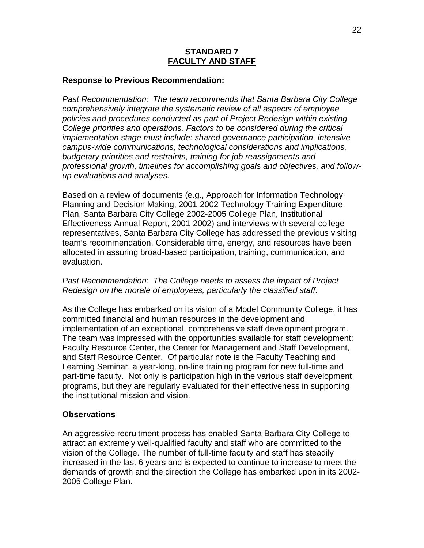# **STANDARD 7 FACULTY AND STAFF**

### **Response to Previous Recommendation:**

*Past Recommendation: The team recommends that Santa Barbara City College comprehensively integrate the systematic review of all aspects of employee policies and procedures conducted as part of Project Redesign within existing College priorities and operations. Factors to be considered during the critical implementation stage must include: shared governance participation, intensive campus-wide communications, technological considerations and implications, budgetary priorities and restraints, training for job reassignments and professional growth, timelines for accomplishing goals and objectives, and followup evaluations and analyses.*

Based on a review of documents (e.g., Approach for Information Technology Planning and Decision Making, 2001-2002 Technology Training Expenditure Plan, Santa Barbara City College 2002-2005 College Plan, Institutional Effectiveness Annual Report, 2001-2002) and interviews with several college representatives, Santa Barbara City College has addressed the previous visiting team's recommendation. Considerable time, energy, and resources have been allocated in assuring broad-based participation, training, communication, and evaluation.

# *Past Recommendation: The College needs to assess the impact of Project Redesign on the morale of employees, particularly the classified staff.*

As the College has embarked on its vision of a Model Community College, it has committed financial and human resources in the development and implementation of an exceptional, comprehensive staff development program. The team was impressed with the opportunities available for staff development: Faculty Resource Center, the Center for Management and Staff Development, and Staff Resource Center. Of particular note is the Faculty Teaching and Learning Seminar, a year-long, on-line training program for new full-time and part-time faculty. Not only is participation high in the various staff development programs, but they are regularly evaluated for their effectiveness in supporting the institutional mission and vision.

### **Observations**

An aggressive recruitment process has enabled Santa Barbara City College to attract an extremely well-qualified faculty and staff who are committed to the vision of the College. The number of full-time faculty and staff has steadily increased in the last 6 years and is expected to continue to increase to meet the demands of growth and the direction the College has embarked upon in its 2002- 2005 College Plan.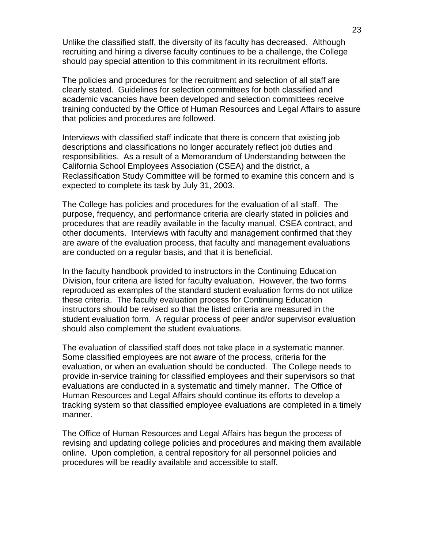Unlike the classified staff, the diversity of its faculty has decreased. Although recruiting and hiring a diverse faculty continues to be a challenge, the College should pay special attention to this commitment in its recruitment efforts.

The policies and procedures for the recruitment and selection of all staff are clearly stated. Guidelines for selection committees for both classified and academic vacancies have been developed and selection committees receive training conducted by the Office of Human Resources and Legal Affairs to assure that policies and procedures are followed.

Interviews with classified staff indicate that there is concern that existing job descriptions and classifications no longer accurately reflect job duties and responsibilities. As a result of a Memorandum of Understanding between the California School Employees Association (CSEA) and the district, a Reclassification Study Committee will be formed to examine this concern and is expected to complete its task by July 31, 2003.

The College has policies and procedures for the evaluation of all staff. The purpose, frequency, and performance criteria are clearly stated in policies and procedures that are readily available in the faculty manual, CSEA contract, and other documents. Interviews with faculty and management confirmed that they are aware of the evaluation process, that faculty and management evaluations are conducted on a regular basis, and that it is beneficial.

In the faculty handbook provided to instructors in the Continuing Education Division, four criteria are listed for faculty evaluation. However, the two forms reproduced as examples of the standard student evaluation forms do not utilize these criteria. The faculty evaluation process for Continuing Education instructors should be revised so that the listed criteria are measured in the student evaluation form. A regular process of peer and/or supervisor evaluation should also complement the student evaluations.

The evaluation of classified staff does not take place in a systematic manner. Some classified employees are not aware of the process, criteria for the evaluation, or when an evaluation should be conducted. The College needs to provide in-service training for classified employees and their supervisors so that evaluations are conducted in a systematic and timely manner. The Office of Human Resources and Legal Affairs should continue its efforts to develop a tracking system so that classified employee evaluations are completed in a timely manner.

The Office of Human Resources and Legal Affairs has begun the process of revising and updating college policies and procedures and making them available online. Upon completion, a central repository for all personnel policies and procedures will be readily available and accessible to staff.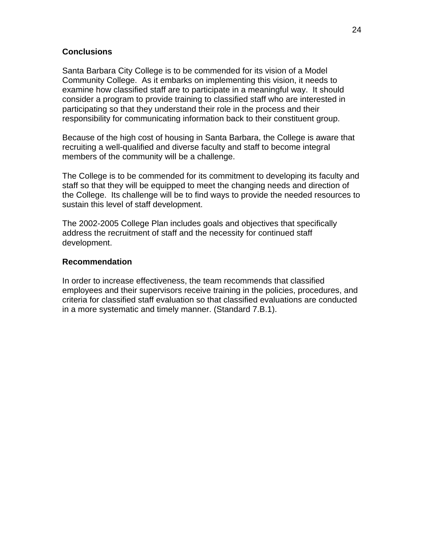# **Conclusions**

Santa Barbara City College is to be commended for its vision of a Model Community College. As it embarks on implementing this vision, it needs to examine how classified staff are to participate in a meaningful way. It should consider a program to provide training to classified staff who are interested in participating so that they understand their role in the process and their responsibility for communicating information back to their constituent group.

Because of the high cost of housing in Santa Barbara, the College is aware that recruiting a well-qualified and diverse faculty and staff to become integral members of the community will be a challenge.

The College is to be commended for its commitment to developing its faculty and staff so that they will be equipped to meet the changing needs and direction of the College. Its challenge will be to find ways to provide the needed resources to sustain this level of staff development.

The 2002-2005 College Plan includes goals and objectives that specifically address the recruitment of staff and the necessity for continued staff development.

# **Recommendation**

In order to increase effectiveness, the team recommends that classified employees and their supervisors receive training in the policies, procedures, and criteria for classified staff evaluation so that classified evaluations are conducted in a more systematic and timely manner. (Standard 7.B.1).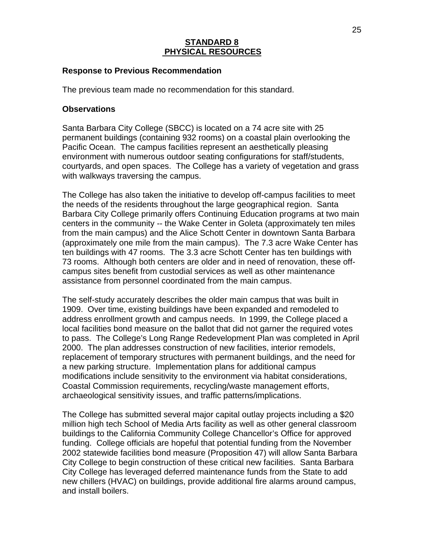# **STANDARD 8 PHYSICAL RESOURCES**

### **Response to Previous Recommendation**

The previous team made no recommendation for this standard.

### **Observations**

Santa Barbara City College (SBCC) is located on a 74 acre site with 25 permanent buildings (containing 932 rooms) on a coastal plain overlooking the Pacific Ocean. The campus facilities represent an aesthetically pleasing environment with numerous outdoor seating configurations for staff/students, courtyards, and open spaces. The College has a variety of vegetation and grass with walkways traversing the campus.

The College has also taken the initiative to develop off-campus facilities to meet the needs of the residents throughout the large geographical region. Santa Barbara City College primarily offers Continuing Education programs at two main centers in the community -- the Wake Center in Goleta (approximately ten miles from the main campus) and the Alice Schott Center in downtown Santa Barbara (approximately one mile from the main campus). The 7.3 acre Wake Center has ten buildings with 47 rooms. The 3.3 acre Schott Center has ten buildings with 73 rooms. Although both centers are older and in need of renovation, these offcampus sites benefit from custodial services as well as other maintenance assistance from personnel coordinated from the main campus.

The self-study accurately describes the older main campus that was built in 1909. Over time, existing buildings have been expanded and remodeled to address enrollment growth and campus needs. In 1999, the College placed a local facilities bond measure on the ballot that did not garner the required votes to pass. The College's Long Range Redevelopment Plan was completed in April 2000. The plan addresses construction of new facilities, interior remodels, replacement of temporary structures with permanent buildings, and the need for a new parking structure. Implementation plans for additional campus modifications include sensitivity to the environment via habitat considerations, Coastal Commission requirements, recycling/waste management efforts, archaeological sensitivity issues, and traffic patterns/implications.

The College has submitted several major capital outlay projects including a \$20 million high tech School of Media Arts facility as well as other general classroom buildings to the California Community College Chancellor's Office for approved funding. College officials are hopeful that potential funding from the November 2002 statewide facilities bond measure (Proposition 47) will allow Santa Barbara City College to begin construction of these critical new facilities. Santa Barbara City College has leveraged deferred maintenance funds from the State to add new chillers (HVAC) on buildings, provide additional fire alarms around campus, and install boilers.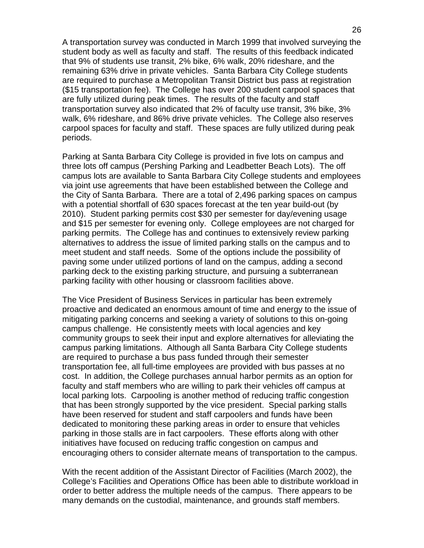A transportation survey was conducted in March 1999 that involved surveying the student body as well as faculty and staff. The results of this feedback indicated that 9% of students use transit, 2% bike, 6% walk, 20% rideshare, and the remaining 63% drive in private vehicles. Santa Barbara City College students are required to purchase a Metropolitan Transit District bus pass at registration (\$15 transportation fee). The College has over 200 student carpool spaces that are fully utilized during peak times. The results of the faculty and staff transportation survey also indicated that 2% of faculty use transit, 3% bike, 3% walk, 6% rideshare, and 86% drive private vehicles. The College also reserves carpool spaces for faculty and staff. These spaces are fully utilized during peak periods.

Parking at Santa Barbara City College is provided in five lots on campus and three lots off campus (Pershing Parking and Leadbetter Beach Lots). The off campus lots are available to Santa Barbara City College students and employees via joint use agreements that have been established between the College and the City of Santa Barbara. There are a total of 2,496 parking spaces on campus with a potential shortfall of 630 spaces forecast at the ten year build-out (by 2010). Student parking permits cost \$30 per semester for day/evening usage and \$15 per semester for evening only. College employees are not charged for parking permits. The College has and continues to extensively review parking alternatives to address the issue of limited parking stalls on the campus and to meet student and staff needs. Some of the options include the possibility of paving some under utilized portions of land on the campus, adding a second parking deck to the existing parking structure, and pursuing a subterranean parking facility with other housing or classroom facilities above.

The Vice President of Business Services in particular has been extremely proactive and dedicated an enormous amount of time and energy to the issue of mitigating parking concerns and seeking a variety of solutions to this on-going campus challenge. He consistently meets with local agencies and key community groups to seek their input and explore alternatives for alleviating the campus parking limitations. Although all Santa Barbara City College students are required to purchase a bus pass funded through their semester transportation fee, all full-time employees are provided with bus passes at no cost. In addition, the College purchases annual harbor permits as an option for faculty and staff members who are willing to park their vehicles off campus at local parking lots. Carpooling is another method of reducing traffic congestion that has been strongly supported by the vice president. Special parking stalls have been reserved for student and staff carpoolers and funds have been dedicated to monitoring these parking areas in order to ensure that vehicles parking in those stalls are in fact carpoolers. These efforts along with other initiatives have focused on reducing traffic congestion on campus and encouraging others to consider alternate means of transportation to the campus.

With the recent addition of the Assistant Director of Facilities (March 2002), the College's Facilities and Operations Office has been able to distribute workload in order to better address the multiple needs of the campus. There appears to be many demands on the custodial, maintenance, and grounds staff members.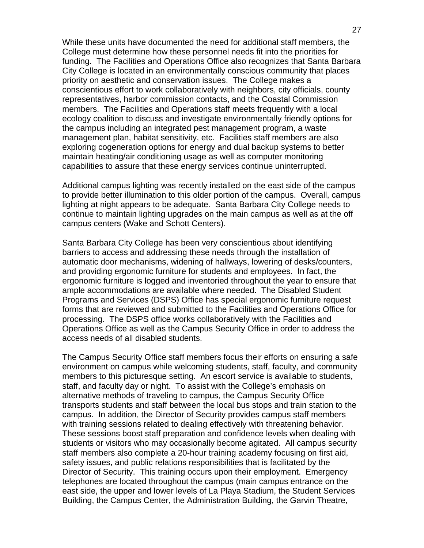While these units have documented the need for additional staff members, the College must determine how these personnel needs fit into the priorities for funding. The Facilities and Operations Office also recognizes that Santa Barbara City College is located in an environmentally conscious community that places priority on aesthetic and conservation issues. The College makes a conscientious effort to work collaboratively with neighbors, city officials, county representatives, harbor commission contacts, and the Coastal Commission members. The Facilities and Operations staff meets frequently with a local ecology coalition to discuss and investigate environmentally friendly options for the campus including an integrated pest management program, a waste management plan, habitat sensitivity, etc. Facilities staff members are also exploring cogeneration options for energy and dual backup systems to better maintain heating/air conditioning usage as well as computer monitoring capabilities to assure that these energy services continue uninterrupted.

Additional campus lighting was recently installed on the east side of the campus to provide better illumination to this older portion of the campus. Overall, campus lighting at night appears to be adequate. Santa Barbara City College needs to continue to maintain lighting upgrades on the main campus as well as at the off campus centers (Wake and Schott Centers).

Santa Barbara City College has been very conscientious about identifying barriers to access and addressing these needs through the installation of automatic door mechanisms, widening of hallways, lowering of desks/counters, and providing ergonomic furniture for students and employees. In fact, the ergonomic furniture is logged and inventoried throughout the year to ensure that ample accommodations are available where needed. The Disabled Student Programs and Services (DSPS) Office has special ergonomic furniture request forms that are reviewed and submitted to the Facilities and Operations Office for processing. The DSPS office works collaboratively with the Facilities and Operations Office as well as the Campus Security Office in order to address the access needs of all disabled students.

The Campus Security Office staff members focus their efforts on ensuring a safe environment on campus while welcoming students, staff, faculty, and community members to this picturesque setting. An escort service is available to students, staff, and faculty day or night. To assist with the College's emphasis on alternative methods of traveling to campus, the Campus Security Office transports students and staff between the local bus stops and train station to the campus. In addition, the Director of Security provides campus staff members with training sessions related to dealing effectively with threatening behavior. These sessions boost staff preparation and confidence levels when dealing with students or visitors who may occasionally become agitated. All campus security staff members also complete a 20-hour training academy focusing on first aid, safety issues, and public relations responsibilities that is facilitated by the Director of Security. This training occurs upon their employment. Emergency telephones are located throughout the campus (main campus entrance on the east side, the upper and lower levels of La Playa Stadium, the Student Services Building, the Campus Center, the Administration Building, the Garvin Theatre,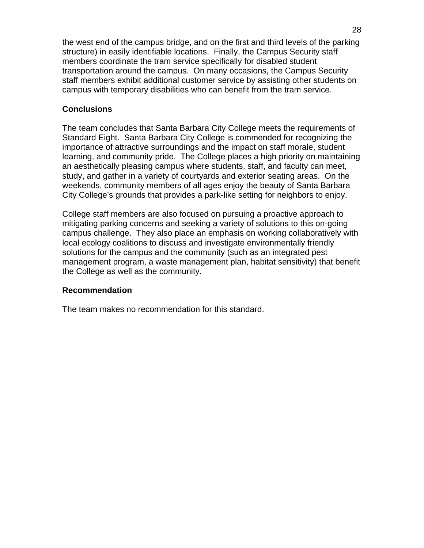the west end of the campus bridge, and on the first and third levels of the parking structure) in easily identifiable locations. Finally, the Campus Security staff members coordinate the tram service specifically for disabled student transportation around the campus. On many occasions, the Campus Security staff members exhibit additional customer service by assisting other students on campus with temporary disabilities who can benefit from the tram service.

# **Conclusions**

The team concludes that Santa Barbara City College meets the requirements of Standard Eight. Santa Barbara City College is commended for recognizing the importance of attractive surroundings and the impact on staff morale, student learning, and community pride. The College places a high priority on maintaining an aesthetically pleasing campus where students, staff, and faculty can meet, study, and gather in a variety of courtyards and exterior seating areas. On the weekends, community members of all ages enjoy the beauty of Santa Barbara City College's grounds that provides a park-like setting for neighbors to enjoy.

College staff members are also focused on pursuing a proactive approach to mitigating parking concerns and seeking a variety of solutions to this on-going campus challenge. They also place an emphasis on working collaboratively with local ecology coalitions to discuss and investigate environmentally friendly solutions for the campus and the community (such as an integrated pest management program, a waste management plan, habitat sensitivity) that benefit the College as well as the community.

### **Recommendation**

The team makes no recommendation for this standard.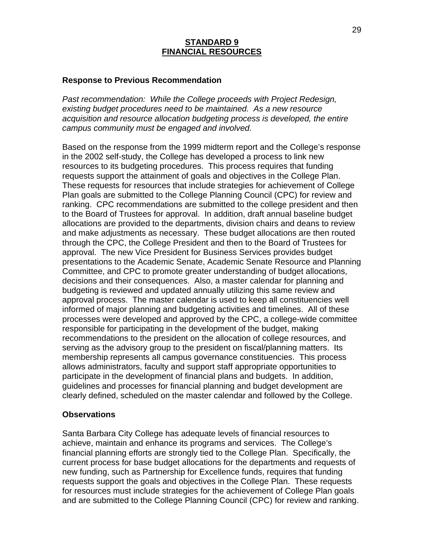# **STANDARD 9 FINANCIAL RESOURCES**

### **Response to Previous Recommendation**

*Past recommendation: While the College proceeds with Project Redesign, existing budget procedures need to be maintained. As a new resource acquisition and resource allocation budgeting process is developed, the entire campus community must be engaged and involved.*

Based on the response from the 1999 midterm report and the College's response in the 2002 self-study, the College has developed a process to link new resources to its budgeting procedures. This process requires that funding requests support the attainment of goals and objectives in the College Plan. These requests for resources that include strategies for achievement of College Plan goals are submitted to the College Planning Council (CPC) for review and ranking. CPC recommendations are submitted to the college president and then to the Board of Trustees for approval. In addition, draft annual baseline budget allocations are provided to the departments, division chairs and deans to review and make adjustments as necessary. These budget allocations are then routed through the CPC, the College President and then to the Board of Trustees for approval. The new Vice President for Business Services provides budget presentations to the Academic Senate, Academic Senate Resource and Planning Committee, and CPC to promote greater understanding of budget allocations, decisions and their consequences. Also, a master calendar for planning and budgeting is reviewed and updated annually utilizing this same review and approval process. The master calendar is used to keep all constituencies well informed of major planning and budgeting activities and timelines. All of these processes were developed and approved by the CPC, a college-wide committee responsible for participating in the development of the budget, making recommendations to the president on the allocation of college resources, and serving as the advisory group to the president on fiscal/planning matters. Its membership represents all campus governance constituencies. This process allows administrators, faculty and support staff appropriate opportunities to participate in the development of financial plans and budgets. In addition, guidelines and processes for financial planning and budget development are clearly defined, scheduled on the master calendar and followed by the College.

#### **Observations**

Santa Barbara City College has adequate levels of financial resources to achieve, maintain and enhance its programs and services. The College's financial planning efforts are strongly tied to the College Plan. Specifically, the current process for base budget allocations for the departments and requests of new funding, such as Partnership for Excellence funds, requires that funding requests support the goals and objectives in the College Plan. These requests for resources must include strategies for the achievement of College Plan goals and are submitted to the College Planning Council (CPC) for review and ranking.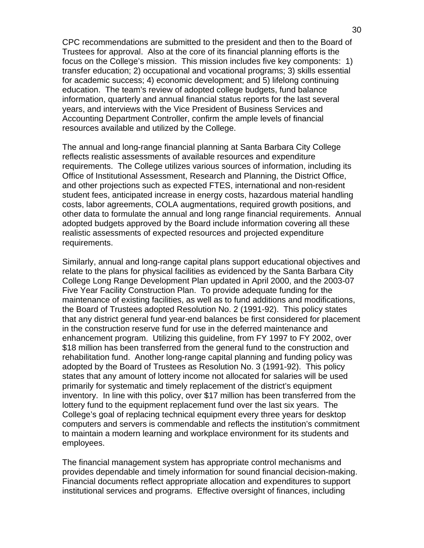CPC recommendations are submitted to the president and then to the Board of Trustees for approval. Also at the core of its financial planning efforts is the focus on the College's mission. This mission includes five key components: 1) transfer education; 2) occupational and vocational programs; 3) skills essential for academic success; 4) economic development; and 5) lifelong continuing education. The team's review of adopted college budgets, fund balance information, quarterly and annual financial status reports for the last several years, and interviews with the Vice President of Business Services and Accounting Department Controller, confirm the ample levels of financial resources available and utilized by the College.

The annual and long-range financial planning at Santa Barbara City College reflects realistic assessments of available resources and expenditure requirements. The College utilizes various sources of information, including its Office of Institutional Assessment, Research and Planning, the District Office, and other projections such as expected FTES, international and non-resident student fees, anticipated increase in energy costs, hazardous material handling costs, labor agreements, COLA augmentations, required growth positions, and other data to formulate the annual and long range financial requirements. Annual adopted budgets approved by the Board include information covering all these realistic assessments of expected resources and projected expenditure requirements.

Similarly, annual and long-range capital plans support educational objectives and relate to the plans for physical facilities as evidenced by the Santa Barbara City College Long Range Development Plan updated in April 2000, and the 2003-07 Five Year Facility Construction Plan. To provide adequate funding for the maintenance of existing facilities, as well as to fund additions and modifications, the Board of Trustees adopted Resolution No. 2 (1991-92). This policy states that any district general fund year-end balances be first considered for placement in the construction reserve fund for use in the deferred maintenance and enhancement program. Utilizing this guideline, from FY 1997 to FY 2002, over \$18 million has been transferred from the general fund to the construction and rehabilitation fund. Another long-range capital planning and funding policy was adopted by the Board of Trustees as Resolution No. 3 (1991-92). This policy states that any amount of lottery income not allocated for salaries will be used primarily for systematic and timely replacement of the district's equipment inventory. In line with this policy, over \$17 million has been transferred from the lottery fund to the equipment replacement fund over the last six years. The College's goal of replacing technical equipment every three years for desktop computers and servers is commendable and reflects the institution's commitment to maintain a modern learning and workplace environment for its students and employees.

The financial management system has appropriate control mechanisms and provides dependable and timely information for sound financial decision-making. Financial documents reflect appropriate allocation and expenditures to support institutional services and programs. Effective oversight of finances, including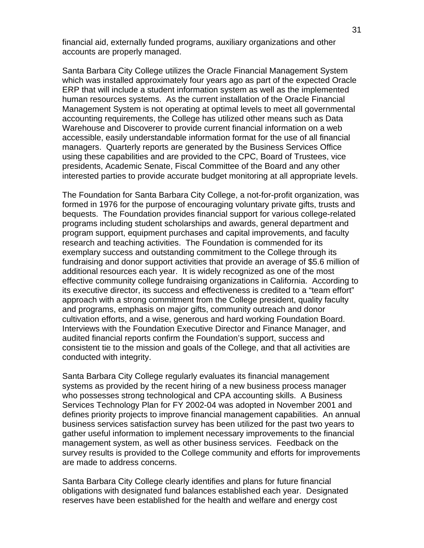financial aid, externally funded programs, auxiliary organizations and other accounts are properly managed.

Santa Barbara City College utilizes the Oracle Financial Management System which was installed approximately four years ago as part of the expected Oracle ERP that will include a student information system as well as the implemented human resources systems. As the current installation of the Oracle Financial Management System is not operating at optimal levels to meet all governmental accounting requirements, the College has utilized other means such as Data Warehouse and Discoverer to provide current financial information on a web accessible, easily understandable information format for the use of all financial managers. Quarterly reports are generated by the Business Services Office using these capabilities and are provided to the CPC, Board of Trustees, vice presidents, Academic Senate, Fiscal Committee of the Board and any other interested parties to provide accurate budget monitoring at all appropriate levels.

The Foundation for Santa Barbara City College, a not-for-profit organization, was formed in 1976 for the purpose of encouraging voluntary private gifts, trusts and bequests. The Foundation provides financial support for various college-related programs including student scholarships and awards, general department and program support, equipment purchases and capital improvements, and faculty research and teaching activities. The Foundation is commended for its exemplary success and outstanding commitment to the College through its fundraising and donor support activities that provide an average of \$5.6 million of additional resources each year. It is widely recognized as one of the most effective community college fundraising organizations in California. According to its executive director, its success and effectiveness is credited to a "team effort" approach with a strong commitment from the College president, quality faculty and programs, emphasis on major gifts, community outreach and donor cultivation efforts, and a wise, generous and hard working Foundation Board. Interviews with the Foundation Executive Director and Finance Manager, and audited financial reports confirm the Foundation's support, success and consistent tie to the mission and goals of the College, and that all activities are conducted with integrity.

Santa Barbara City College regularly evaluates its financial management systems as provided by the recent hiring of a new business process manager who possesses strong technological and CPA accounting skills. A Business Services Technology Plan for FY 2002-04 was adopted in November 2001 and defines priority projects to improve financial management capabilities. An annual business services satisfaction survey has been utilized for the past two years to gather useful information to implement necessary improvements to the financial management system, as well as other business services. Feedback on the survey results is provided to the College community and efforts for improvements are made to address concerns.

Santa Barbara City College clearly identifies and plans for future financial obligations with designated fund balances established each year. Designated reserves have been established for the health and welfare and energy cost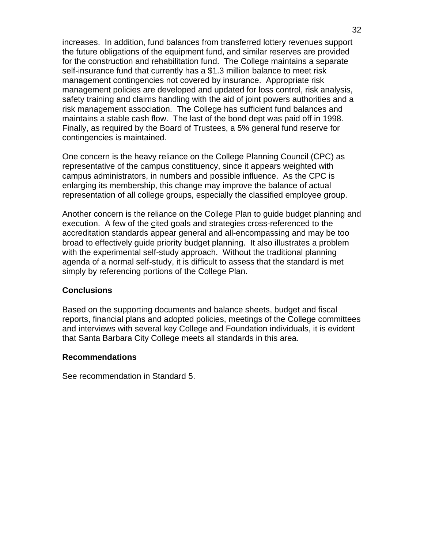increases. In addition, fund balances from transferred lottery revenues support the future obligations of the equipment fund, and similar reserves are provided for the construction and rehabilitation fund. The College maintains a separate self-insurance fund that currently has a \$1.3 million balance to meet risk management contingencies not covered by insurance. Appropriate risk management policies are developed and updated for loss control, risk analysis, safety training and claims handling with the aid of joint powers authorities and a risk management association. The College has sufficient fund balances and maintains a stable cash flow. The last of the bond dept was paid off in 1998. Finally, as required by the Board of Trustees, a 5% general fund reserve for contingencies is maintained.

One concern is the heavy reliance on the College Planning Council (CPC) as representative of the campus constituency, since it appears weighted with campus administrators, in numbers and possible influence. As the CPC is enlarging its membership, this change may improve the balance of actual representation of all college groups, especially the classified employee group.

Another concern is the reliance on the College Plan to guide budget planning and execution. A few of the cited goals and strategies cross-referenced to the accreditation standards appear general and all-encompassing and may be too broad to effectively guide priority budget planning. It also illustrates a problem with the experimental self-study approach. Without the traditional planning agenda of a normal self-study, it is difficult to assess that the standard is met simply by referencing portions of the College Plan.

### **Conclusions**

Based on the supporting documents and balance sheets, budget and fiscal reports, financial plans and adopted policies, meetings of the College committees and interviews with several key College and Foundation individuals, it is evident that Santa Barbara City College meets all standards in this area.

#### **Recommendations**

See recommendation in Standard 5.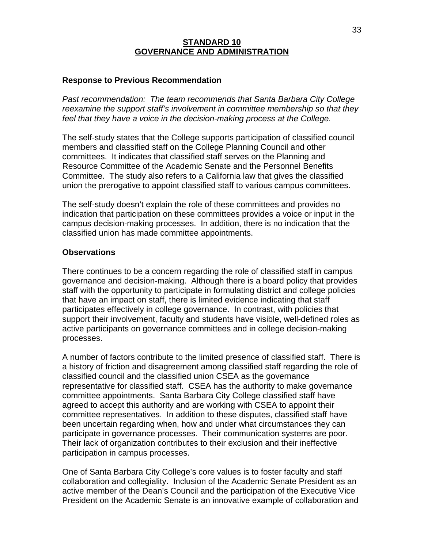# **STANDARD 10 GOVERNANCE AND ADMINISTRATION**

## **Response to Previous Recommendation**

*Past recommendation: The team recommends that Santa Barbara City College reexamine the support staff's involvement in committee membership so that they feel that they have a voice in the decision-making process at the College.*

The self-study states that the College supports participation of classified council members and classified staff on the College Planning Council and other committees. It indicates that classified staff serves on the Planning and Resource Committee of the Academic Senate and the Personnel Benefits Committee. The study also refers to a California law that gives the classified union the prerogative to appoint classified staff to various campus committees.

The self-study doesn't explain the role of these committees and provides no indication that participation on these committees provides a voice or input in the campus decision-making processes. In addition, there is no indication that the classified union has made committee appointments.

### **Observations**

There continues to be a concern regarding the role of classified staff in campus governance and decision-making. Although there is a board policy that provides staff with the opportunity to participate in formulating district and college policies that have an impact on staff, there is limited evidence indicating that staff participates effectively in college governance. In contrast, with policies that support their involvement, faculty and students have visible, well-defined roles as active participants on governance committees and in college decision-making processes.

A number of factors contribute to the limited presence of classified staff. There is a history of friction and disagreement among classified staff regarding the role of classified council and the classified union CSEA as the governance representative for classified staff. CSEA has the authority to make governance committee appointments. Santa Barbara City College classified staff have agreed to accept this authority and are working with CSEA to appoint their committee representatives. In addition to these disputes, classified staff have been uncertain regarding when, how and under what circumstances they can participate in governance processes. Their communication systems are poor. Their lack of organization contributes to their exclusion and their ineffective participation in campus processes.

One of Santa Barbara City College's core values is to foster faculty and staff collaboration and collegiality. Inclusion of the Academic Senate President as an active member of the Dean's Council and the participation of the Executive Vice President on the Academic Senate is an innovative example of collaboration and